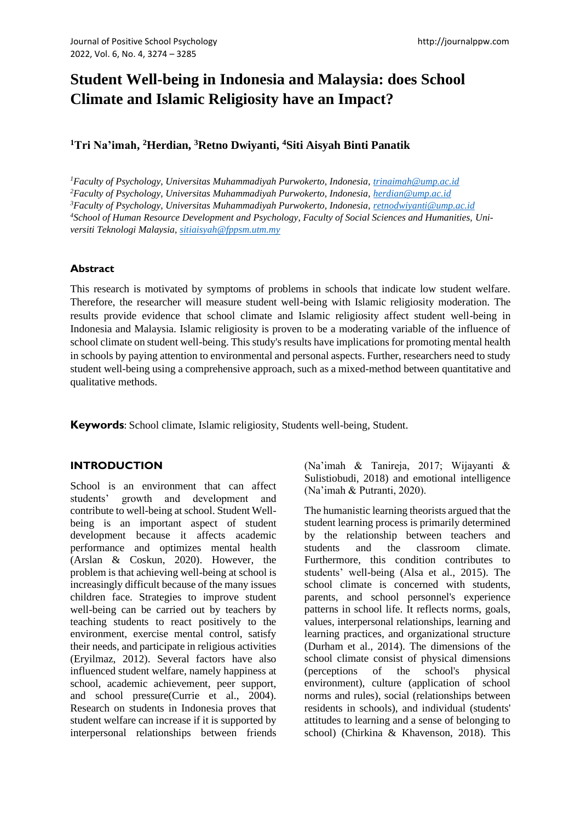# **Student Well-being in Indonesia and Malaysia: does School Climate and Islamic Religiosity have an Impact?**

## **<sup>1</sup>Tri Na'imah, <sup>2</sup>Herdian, <sup>3</sup>Retno Dwiyanti, <sup>4</sup>Siti Aisyah Binti Panatik**

*Faculty of Psychology, Universitas Muhammadiyah Purwokerto, Indonesia, [trinaimah@ump.ac.id](mailto:trinaimah@ump.ac.id) Faculty of Psychology, Universitas Muhammadiyah Purwokerto, Indonesia, [herdian@ump.ac.id](mailto:herdian@ump.ac.id) Faculty of Psychology, Universitas Muhammadiyah Purwokerto, Indonesia, [retnodwiyanti@ump.ac.id](mailto:retnodwiyanti@ump.ac.id) School of Human Resource Development and Psychology, Faculty of Social Sciences and Humanities, Universiti Teknologi Malaysia, [sitiaisyah@fppsm.utm.my](mailto:sitiaisyah@fppsm.utm.my)*

#### **Abstract**

This research is motivated by symptoms of problems in schools that indicate low student welfare. Therefore, the researcher will measure student well-being with Islamic religiosity moderation. The results provide evidence that school climate and Islamic religiosity affect student well-being in Indonesia and Malaysia. Islamic religiosity is proven to be a moderating variable of the influence of school climate on student well-being. This study's results have implications for promoting mental health in schools by paying attention to environmental and personal aspects. Further, researchers need to study student well-being using a comprehensive approach, such as a mixed-method between quantitative and qualitative methods.

**Keywords**: School climate, Islamic religiosity, Students well-being, Student.

## **INTRODUCTION**

School is an environment that can affect students' growth and development and contribute to well-being at school. Student Wellbeing is an important aspect of student development because it affects academic performance and optimizes mental health (Arslan & Coskun, 2020). However, the problem is that achieving well-being at school is increasingly difficult because of the many issues children face. Strategies to improve student well-being can be carried out by teachers by teaching students to react positively to the environment, exercise mental control, satisfy their needs, and participate in religious activities (Eryilmaz, 2012). Several factors have also influenced student welfare, namely happiness at school, academic achievement, peer support, and school pressure(Currie et al., 2004). Research on students in Indonesia proves that student welfare can increase if it is supported by interpersonal relationships between friends (Na'imah & Tanireja, 2017; Wijayanti & Sulistiobudi, 2018) and emotional intelligence (Na'imah & Putranti, 2020).

The humanistic learning theorists argued that the student learning process is primarily determined by the relationship between teachers and students and the classroom climate. Furthermore, this condition contributes to students' well-being (Alsa et al., 2015). The school climate is concerned with students, parents, and school personnel's experience patterns in school life. It reflects norms, goals, values, interpersonal relationships, learning and learning practices, and organizational structure (Durham et al., 2014). The dimensions of the school climate consist of physical dimensions (perceptions of the school's physical environment), culture (application of school norms and rules), social (relationships between residents in schools), and individual (students' attitudes to learning and a sense of belonging to school) (Chirkina & Khavenson, 2018). This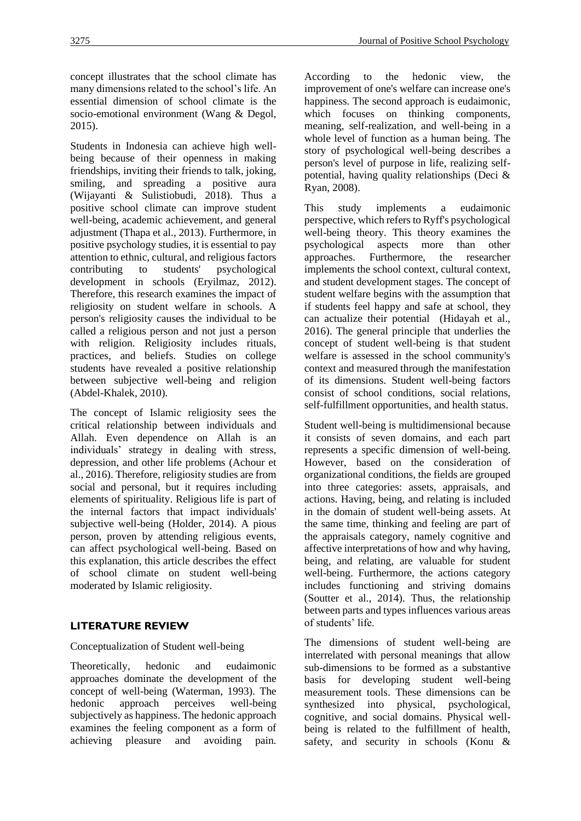concept illustrates that the school climate has many dimensions related to the school's life. An essential dimension of school climate is the socio-emotional environment (Wang & Degol, 2015).

Students in Indonesia can achieve high wellbeing because of their openness in making friendships, inviting their friends to talk, joking, smiling, and spreading a positive aura (Wijayanti & Sulistiobudi, 2018). Thus a positive school climate can improve student well-being, academic achievement, and general adjustment (Thapa et al., 2013). Furthermore, in positive psychology studies, it is essential to pay attention to ethnic, cultural, and religious factors contributing to students' psychological development in schools (Eryilmaz, 2012). Therefore, this research examines the impact of religiosity on student welfare in schools. A person's religiosity causes the individual to be called a religious person and not just a person with religion. Religiosity includes rituals, practices, and beliefs. Studies on college students have revealed a positive relationship between subjective well-being and religion (Abdel-Khalek, 2010).

The concept of Islamic religiosity sees the critical relationship between individuals and Allah. Even dependence on Allah is an individuals' strategy in dealing with stress, depression, and other life problems (Achour et al., 2016). Therefore, religiosity studies are from social and personal, but it requires including elements of spirituality. Religious life is part of the internal factors that impact individuals' subjective well-being (Holder, 2014). A pious person, proven by attending religious events, can affect psychological well-being. Based on this explanation, this article describes the effect of school climate on student well-being moderated by Islamic religiosity.

## **LITERATURE REVIEW**

#### Conceptualization of Student well-being

Theoretically, hedonic and eudaimonic approaches dominate the development of the concept of well-being (Waterman, 1993). The hedonic approach perceives well-being subjectively as happiness. The hedonic approach examines the feeling component as a form of achieving pleasure and avoiding pain. According to the hedonic view, the improvement of one's welfare can increase one's happiness. The second approach is eudaimonic, which focuses on thinking components, meaning, self-realization, and well-being in a whole level of function as a human being. The story of psychological well-being describes a person's level of purpose in life, realizing selfpotential, having quality relationships (Deci & Ryan, 2008).

This study implements a eudaimonic perspective, which refers to Ryff's psychological well-being theory. This theory examines the psychological aspects more than other approaches. Furthermore, the researcher implements the school context, cultural context, and student development stages. The concept of student welfare begins with the assumption that if students feel happy and safe at school, they can actualize their potential (Hidayah et al., 2016). The general principle that underlies the concept of student well-being is that student welfare is assessed in the school community's context and measured through the manifestation of its dimensions. Student well-being factors consist of school conditions, social relations, self-fulfillment opportunities, and health status.

Student well-being is multidimensional because it consists of seven domains, and each part represents a specific dimension of well-being. However, based on the consideration of organizational conditions, the fields are grouped into three categories: assets, appraisals, and actions. Having, being, and relating is included in the domain of student well-being assets. At the same time, thinking and feeling are part of the appraisals category, namely cognitive and affective interpretations of how and why having, being, and relating, are valuable for student well-being. Furthermore, the actions category includes functioning and striving domains (Soutter et al., 2014). Thus, the relationship between parts and types influences various areas of students' life.

The dimensions of student well-being are interrelated with personal meanings that allow sub-dimensions to be formed as a substantive basis for developing student well-being measurement tools. These dimensions can be synthesized into physical, psychological, cognitive, and social domains. Physical wellbeing is related to the fulfillment of health, safety, and security in schools (Konu &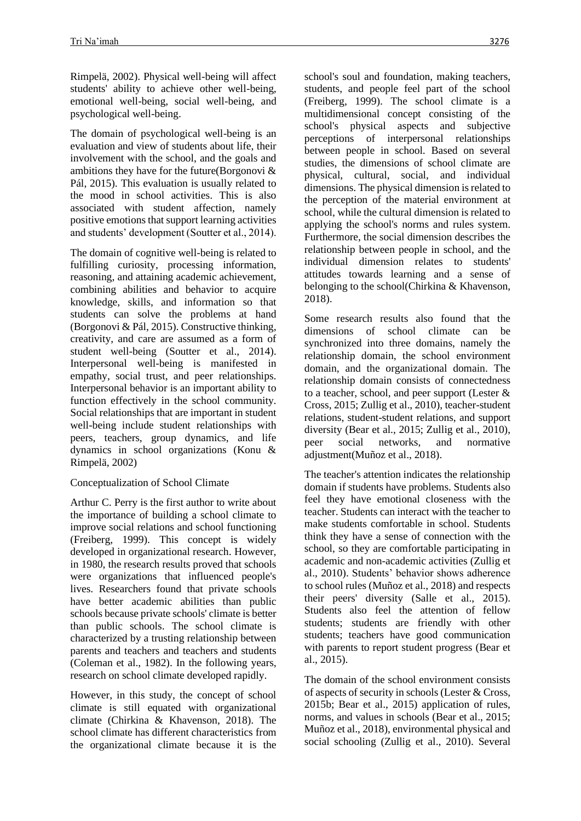Rimpelä, 2002). Physical well-being will affect students' ability to achieve other well-being, emotional well-being, social well-being, and psychological well-being.

The domain of psychological well-being is an evaluation and view of students about life, their involvement with the school, and the goals and ambitions they have for the future(Borgonovi & Pál, 2015). This evaluation is usually related to the mood in school activities. This is also associated with student affection, namely positive emotions that support learning activities and students' development (Soutter et al., 2014).

The domain of cognitive well-being is related to fulfilling curiosity, processing information, reasoning, and attaining academic achievement, combining abilities and behavior to acquire knowledge, skills, and information so that students can solve the problems at hand (Borgonovi & Pál, 2015). Constructive thinking, creativity, and care are assumed as a form of student well-being (Soutter et al., 2014). Interpersonal well-being is manifested in empathy, social trust, and peer relationships. Interpersonal behavior is an important ability to function effectively in the school community. Social relationships that are important in student well-being include student relationships with peers, teachers, group dynamics, and life dynamics in school organizations (Konu & Rimpelä, 2002)

#### Conceptualization of School Climate

Arthur C. Perry is the first author to write about the importance of building a school climate to improve social relations and school functioning (Freiberg, 1999). This concept is widely developed in organizational research. However, in 1980, the research results proved that schools were organizations that influenced people's lives. Researchers found that private schools have better academic abilities than public schools because private schools' climate is better than public schools. The school climate is characterized by a trusting relationship between parents and teachers and teachers and students (Coleman et al., 1982). In the following years, research on school climate developed rapidly.

However, in this study, the concept of school climate is still equated with organizational climate (Chirkina & Khavenson, 2018). The school climate has different characteristics from the organizational climate because it is the school's soul and foundation, making teachers, students, and people feel part of the school (Freiberg, 1999). The school climate is a multidimensional concept consisting of the school's physical aspects and subjective perceptions of interpersonal relationships between people in school. Based on several studies, the dimensions of school climate are physical, cultural, social, and individual dimensions. The physical dimension is related to the perception of the material environment at school, while the cultural dimension is related to applying the school's norms and rules system. Furthermore, the social dimension describes the relationship between people in school, and the individual dimension relates to students' attitudes towards learning and a sense of belonging to the school(Chirkina & Khavenson, 2018).

Some research results also found that the dimensions of school climate can be synchronized into three domains, namely the relationship domain, the school environment domain, and the organizational domain. The relationship domain consists of connectedness to a teacher, school, and peer support (Lester & Cross, 2015; Zullig et al., 2010), teacher-student relations, student-student relations, and support diversity (Bear et al., 2015; Zullig et al., 2010), peer social networks, and normative adjustment(Muñoz et al., 2018).

The teacher's attention indicates the relationship domain if students have problems. Students also feel they have emotional closeness with the teacher. Students can interact with the teacher to make students comfortable in school. Students think they have a sense of connection with the school, so they are comfortable participating in academic and non-academic activities (Zullig et al., 2010). Students' behavior shows adherence to school rules (Muñoz et al., 2018) and respects their peers' diversity (Salle et al., 2015). Students also feel the attention of fellow students; students are friendly with other students; teachers have good communication with parents to report student progress (Bear et al., 2015).

The domain of the school environment consists of aspects of security in schools (Lester & Cross, 2015b; Bear et al., 2015) application of rules, norms, and values in schools (Bear et al., 2015; Muñoz et al., 2018), environmental physical and social schooling (Zullig et al., 2010). Several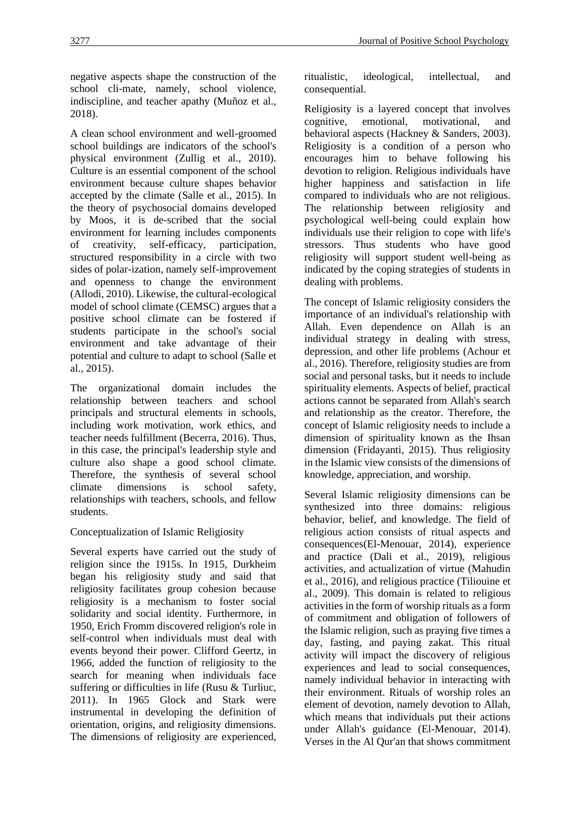negative aspects shape the construction of the school cli-mate, namely, school violence, indiscipline, and teacher apathy (Muñoz et al., 2018).

A clean school environment and well-groomed school buildings are indicators of the school's physical environment (Zullig et al., 2010). Culture is an essential component of the school environment because culture shapes behavior accepted by the climate (Salle et al., 2015). In the theory of psychosocial domains developed by Moos, it is de-scribed that the social environment for learning includes components of creativity, self-efficacy, participation, structured responsibility in a circle with two sides of polar-ization, namely self-improvement and openness to change the environment (Allodi, 2010). Likewise, the cultural-ecological model of school climate (CEMSC) argues that a positive school climate can be fostered if students participate in the school's social environment and take advantage of their potential and culture to adapt to school (Salle et al., 2015).

The organizational domain includes the relationship between teachers and school principals and structural elements in schools, including work motivation, work ethics, and teacher needs fulfillment (Becerra, 2016). Thus, in this case, the principal's leadership style and culture also shape a good school climate. Therefore, the synthesis of several school climate dimensions is school safety, relationships with teachers, schools, and fellow students.

Conceptualization of Islamic Religiosity

Several experts have carried out the study of religion since the 1915s. In 1915, Durkheim began his religiosity study and said that religiosity facilitates group cohesion because religiosity is a mechanism to foster social solidarity and social identity. Furthermore, in 1950, Erich Fromm discovered religion's role in self-control when individuals must deal with events beyond their power. Clifford Geertz, in 1966, added the function of religiosity to the search for meaning when individuals face suffering or difficulties in life (Rusu & Turliuc, 2011). In 1965 Glock and Stark were instrumental in developing the definition of orientation, origins, and religiosity dimensions. The dimensions of religiosity are experienced, ritualistic, ideological, intellectual, and consequential.

Religiosity is a layered concept that involves cognitive, emotional, motivational, and behavioral aspects (Hackney & Sanders, 2003). Religiosity is a condition of a person who encourages him to behave following his devotion to religion. Religious individuals have higher happiness and satisfaction in life compared to individuals who are not religious. The relationship between religiosity and psychological well-being could explain how individuals use their religion to cope with life's stressors. Thus students who have good religiosity will support student well-being as indicated by the coping strategies of students in dealing with problems.

The concept of Islamic religiosity considers the importance of an individual's relationship with Allah. Even dependence on Allah is an individual strategy in dealing with stress, depression, and other life problems (Achour et al., 2016). Therefore, religiosity studies are from social and personal tasks, but it needs to include spirituality elements. Aspects of belief, practical actions cannot be separated from Allah's search and relationship as the creator. Therefore, the concept of Islamic religiosity needs to include a dimension of spirituality known as the Ihsan dimension (Fridayanti, 2015). Thus religiosity in the Islamic view consists of the dimensions of knowledge, appreciation, and worship.

Several Islamic religiosity dimensions can be synthesized into three domains: religious behavior, belief, and knowledge. The field of religious action consists of ritual aspects and consequences(El-Menouar, 2014), experience and practice (Dali et al., 2019), religious activities, and actualization of virtue (Mahudin et al., 2016), and religious practice (Tiliouine et al., 2009). This domain is related to religious activities in the form of worship rituals as a form of commitment and obligation of followers of the Islamic religion, such as praying five times a day, fasting, and paying zakat. This ritual activity will impact the discovery of religious experiences and lead to social consequences, namely individual behavior in interacting with their environment. Rituals of worship roles an element of devotion, namely devotion to Allah, which means that individuals put their actions under Allah's guidance (El-Menouar, 2014). Verses in the Al Qur'an that shows commitment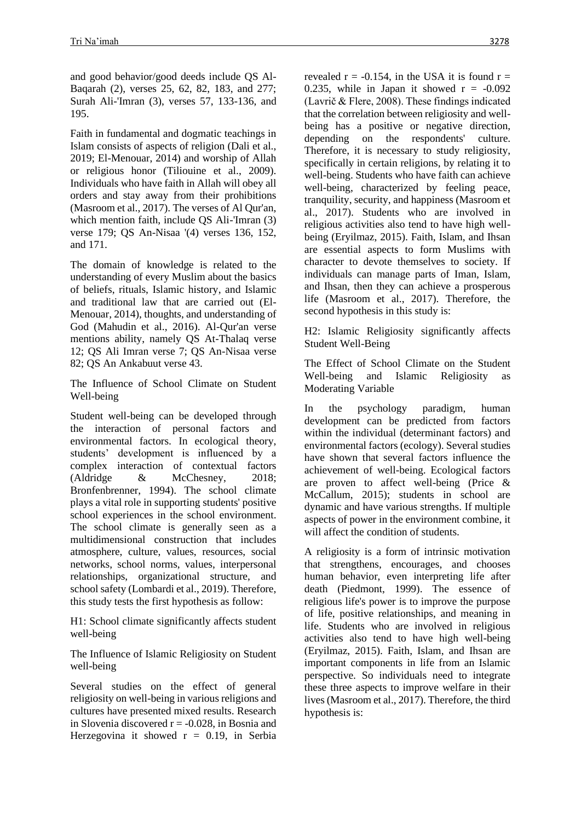and good behavior/good deeds include QS Al-Baqarah (2), verses 25, 62, 82, 183, and 277; Surah Ali-'Imran (3), verses 57, 133-136, and 195.

Faith in fundamental and dogmatic teachings in Islam consists of aspects of religion (Dali et al., 2019; El-Menouar, 2014) and worship of Allah or religious honor (Tiliouine et al., 2009). Individuals who have faith in Allah will obey all orders and stay away from their prohibitions (Masroom et al., 2017). The verses of Al Qur'an, which mention faith, include QS Ali-'Imran (3) verse 179; QS An-Nisaa '(4) verses 136, 152, and 171.

The domain of knowledge is related to the understanding of every Muslim about the basics of beliefs, rituals, Islamic history, and Islamic and traditional law that are carried out (El-Menouar, 2014), thoughts, and understanding of God (Mahudin et al., 2016). Al-Qur'an verse mentions ability, namely QS At-Thalaq verse 12; QS Ali Imran verse 7; QS An-Nisaa verse 82; QS An Ankabuut verse 43.

The Influence of School Climate on Student Well-being

Student well-being can be developed through the interaction of personal factors and environmental factors. In ecological theory, students' development is influenced by a complex interaction of contextual factors (Aldridge & McChesney, 2018; Bronfenbrenner, 1994). The school climate plays a vital role in supporting students' positive school experiences in the school environment. The school climate is generally seen as a multidimensional construction that includes atmosphere, culture, values, resources, social networks, school norms, values, interpersonal relationships, organizational structure, and school safety (Lombardi et al., 2019). Therefore, this study tests the first hypothesis as follow:

H1: School climate significantly affects student well-being

The Influence of Islamic Religiosity on Student well-being

Several studies on the effect of general religiosity on well-being in various religions and cultures have presented mixed results. Research in Slovenia discovered  $r = -0.028$ , in Bosnia and Herzegovina it showed  $r = 0.19$ , in Serbia revealed  $r = -0.154$ , in the USA it is found  $r =$ 0.235, while in Japan it showed  $r = -0.092$ (Lavrič & Flere, 2008). These findings indicated that the correlation between religiosity and wellbeing has a positive or negative direction, depending on the respondents' culture. Therefore, it is necessary to study religiosity, specifically in certain religions, by relating it to well-being. Students who have faith can achieve well-being, characterized by feeling peace, tranquility, security, and happiness (Masroom et al., 2017). Students who are involved in religious activities also tend to have high wellbeing (Eryilmaz, 2015). Faith, Islam, and Ihsan are essential aspects to form Muslims with character to devote themselves to society. If individuals can manage parts of Iman, Islam, and Ihsan, then they can achieve a prosperous life (Masroom et al., 2017). Therefore, the second hypothesis in this study is:

H2: Islamic Religiosity significantly affects Student Well-Being

The Effect of School Climate on the Student Well-being and Islamic Religiosity as Moderating Variable

In the psychology paradigm, human development can be predicted from factors within the individual (determinant factors) and environmental factors (ecology). Several studies have shown that several factors influence the achievement of well-being. Ecological factors are proven to affect well-being (Price & McCallum, 2015); students in school are dynamic and have various strengths. If multiple aspects of power in the environment combine, it will affect the condition of students.

A religiosity is a form of intrinsic motivation that strengthens, encourages, and chooses human behavior, even interpreting life after death (Piedmont, 1999). The essence of religious life's power is to improve the purpose of life, positive relationships, and meaning in life. Students who are involved in religious activities also tend to have high well-being (Eryilmaz, 2015). Faith, Islam, and Ihsan are important components in life from an Islamic perspective. So individuals need to integrate these three aspects to improve welfare in their lives (Masroom et al., 2017). Therefore, the third hypothesis is: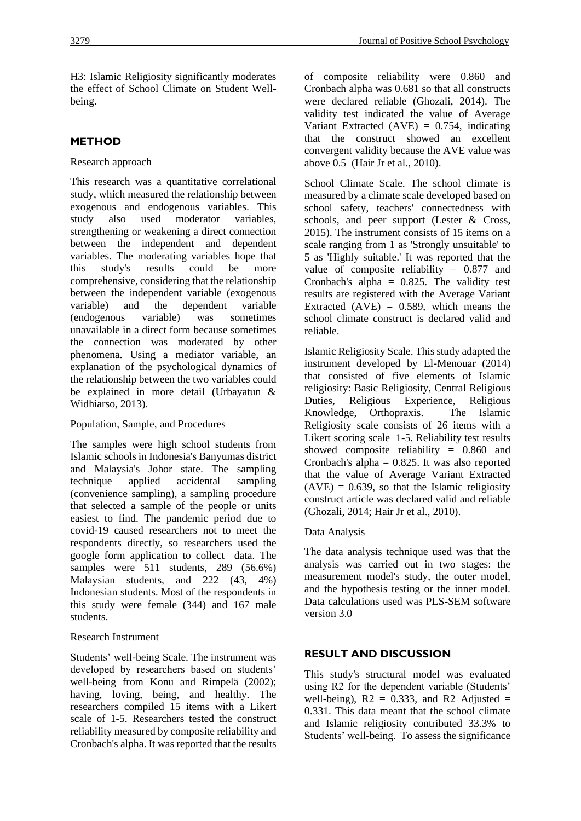H3: Islamic Religiosity significantly moderates the effect of School Climate on Student Wellbeing.

## **METHOD**

#### Research approach

This research was a quantitative correlational study, which measured the relationship between exogenous and endogenous variables. This study also used moderator variables, strengthening or weakening a direct connection between the independent and dependent variables. The moderating variables hope that this study's results could be more comprehensive, considering that the relationship between the independent variable (exogenous variable) and the dependent variable (endogenous variable) was sometimes unavailable in a direct form because sometimes the connection was moderated by other phenomena. Using a mediator variable, an explanation of the psychological dynamics of the relationship between the two variables could be explained in more detail (Urbayatun & Widhiarso, 2013).

#### Population, Sample, and Procedures

The samples were high school students from Islamic schools in Indonesia's Banyumas district and Malaysia's Johor state. The sampling technique applied accidental sampling (convenience sampling), a sampling procedure that selected a sample of the people or units easiest to find. The pandemic period due to covid-19 caused researchers not to meet the respondents directly, so researchers used the google form application to collect data. The samples were 511 students, 289 (56.6%) Malaysian students, and 222 (43, 4%) Indonesian students. Most of the respondents in this study were female (344) and 167 male students.

#### Research Instrument

Students' well-being Scale. The instrument was developed by researchers based on students' well-being from Konu and Rimpelä (2002); having, loving, being, and healthy. The researchers compiled 15 items with a Likert scale of 1-5. Researchers tested the construct reliability measured by composite reliability and Cronbach's alpha. It was reported that the results of composite reliability were 0.860 and Cronbach alpha was 0.681 so that all constructs were declared reliable (Ghozali, 2014). The validity test indicated the value of Average Variant Extracted  $(AVE) = 0.754$ , indicating that the construct showed an excellent convergent validity because the AVE value was above 0.5 (Hair Jr et al., 2010).

School Climate Scale. The school climate is measured by a climate scale developed based on school safety, teachers' connectedness with schools, and peer support (Lester & Cross, 2015). The instrument consists of 15 items on a scale ranging from 1 as 'Strongly unsuitable' to 5 as 'Highly suitable.' It was reported that the value of composite reliability = 0.877 and Cronbach's alpha  $= 0.825$ . The validity test results are registered with the Average Variant Extracted  $(AVE) = 0.589$ , which means the school climate construct is declared valid and reliable.

Islamic Religiosity Scale. This study adapted the instrument developed by El-Menouar (2014) that consisted of five elements of Islamic religiosity: Basic Religiosity, Central Religious Duties, Religious Experience, Religious Knowledge, Orthopraxis. The Islamic Religiosity scale consists of 26 items with a Likert scoring scale 1-5. Reliability test results showed composite reliability = 0.860 and Cronbach's alpha  $= 0.825$ . It was also reported that the value of Average Variant Extracted  $(AVE) = 0.639$ , so that the Islamic religiosity construct article was declared valid and reliable (Ghozali, 2014; Hair Jr et al., 2010).

#### Data Analysis

The data analysis technique used was that the analysis was carried out in two stages: the measurement model's study, the outer model, and the hypothesis testing or the inner model. Data calculations used was PLS-SEM software version 3.0

#### **RESULT AND DISCUSSION**

This study's structural model was evaluated using R2 for the dependent variable (Students' well-being),  $R2 = 0.333$ , and R2 Adjusted = 0.331. This data meant that the school climate and Islamic religiosity contributed 33.3% to Students' well-being. To assess the significance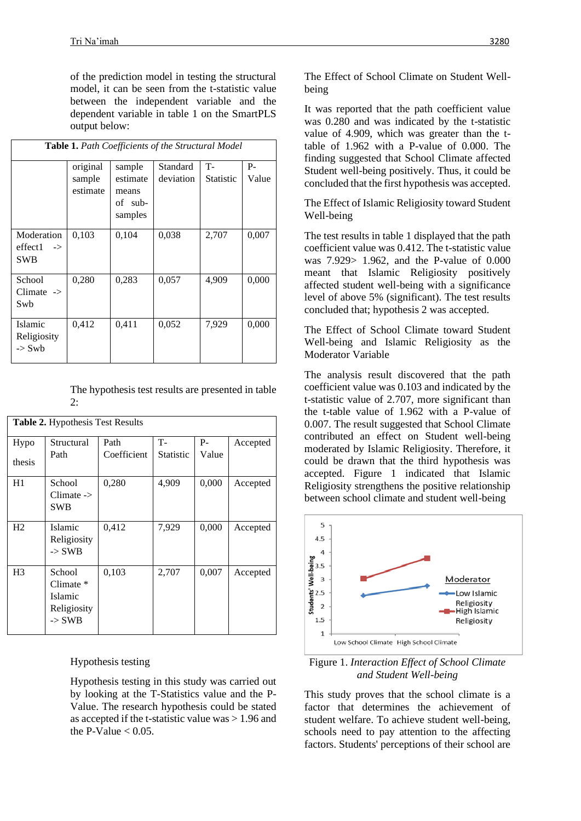of the prediction model in testing the structural model, it can be seen from the t-statistic value between the independent variable and the dependent variable in table 1 on the SmartPLS output below:

| <b>Table 1.</b> Path Coefficients of the Structural Model |                                |                                                   |                       |                               |             |  |  |  |
|-----------------------------------------------------------|--------------------------------|---------------------------------------------------|-----------------------|-------------------------------|-------------|--|--|--|
|                                                           | original<br>sample<br>estimate | sample<br>estimate<br>means<br>of sub-<br>samples | Standard<br>deviation | <b>T-</b><br><b>Statistic</b> | P-<br>Value |  |  |  |
| Moderation<br>effect1<br>$\rightarrow$<br><b>SWB</b>      | 0,103                          | 0,104                                             | 0,038                 | 2,707                         | 0,007       |  |  |  |
| School<br>$Climate$ -><br>Swb                             | 0,280                          | 0,283                                             | 0,057                 | 4,909                         | 0,000       |  |  |  |
| Islamic<br>Religiosity<br>$\sim$ Swb                      | 0,412                          | 0.411                                             | 0,052                 | 7,929                         | 0,000       |  |  |  |

The hypothesis test results are presented in table  $2$ .

| <b>Table 2.</b> Hypothesis Test Results |                                                                      |                     |                        |               |          |  |  |  |
|-----------------------------------------|----------------------------------------------------------------------|---------------------|------------------------|---------------|----------|--|--|--|
| Hypo                                    | Structural<br>Path                                                   | Path<br>Coefficient | T-<br><b>Statistic</b> | $P-$<br>Value | Accepted |  |  |  |
| thesis                                  |                                                                      |                     |                        |               |          |  |  |  |
| H1                                      | School<br>$Climate ->$<br><b>SWB</b>                                 | 0,280               | 4,909                  | 0,000         | Accepted |  |  |  |
| H <sub>2</sub>                          | Islamic<br>Religiosity<br>$\rightarrow$ SWB                          | 0,412               | 7,929                  | 0,000         | Accepted |  |  |  |
| H <sub>3</sub>                          | School<br>Climate $*$<br>Islamic<br>Religiosity<br>$\rightarrow$ SWB | 0,103               | 2,707                  | 0,007         | Accepted |  |  |  |

Hypothesis testing

Hypothesis testing in this study was carried out by looking at the T-Statistics value and the P-Value. The research hypothesis could be stated as accepted if the t-statistic value was > 1.96 and the P-Value  $< 0.05$ .

The Effect of School Climate on Student Wellbeing

It was reported that the path coefficient value was 0.280 and was indicated by the t-statistic value of 4.909, which was greater than the ttable of 1.962 with a P-value of 0.000. The finding suggested that School Climate affected Student well-being positively. Thus, it could be concluded that the first hypothesis was accepted.

The Effect of Islamic Religiosity toward Student Well-being

The test results in table 1 displayed that the path coefficient value was 0.412. The t-statistic value was 7.929> 1.962, and the P-value of 0.000 meant that Islamic Religiosity positively affected student well-being with a significance level of above 5% (significant). The test results concluded that; hypothesis 2 was accepted.

The Effect of School Climate toward Student Well-being and Islamic Religiosity as the Moderator Variable

The analysis result discovered that the path coefficient value was 0.103 and indicated by the t-statistic value of 2.707, more significant than the t-table value of 1.962 with a P-value of 0.007. The result suggested that School Climate contributed an effect on Student well-being moderated by Islamic Religiosity. Therefore, it could be drawn that the third hypothesis was accepted. Figure 1 indicated that Islamic Religiosity strengthens the positive relationship between school climate and student well-being



Figure 1. *Interaction Effect of School Climate and Student Well-being*

This study proves that the school climate is a factor that determines the achievement of student welfare. To achieve student well-being, schools need to pay attention to the affecting factors. Students' perceptions of their school are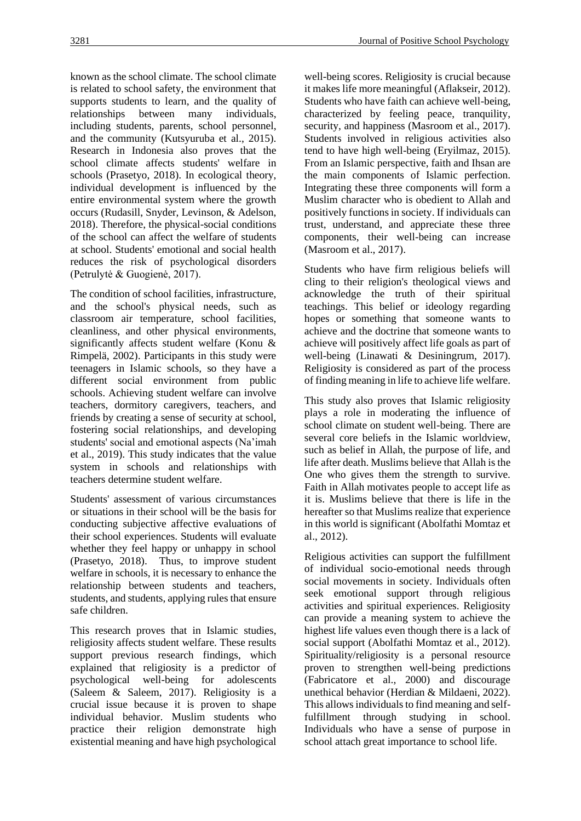known as the school climate. The school climate is related to school safety, the environment that supports students to learn, and the quality of relationships between many individuals, including students, parents, school personnel, and the community (Kutsyuruba et al., 2015). Research in Indonesia also proves that the school climate affects students' welfare in schools (Prasetyo, 2018). In ecological theory, individual development is influenced by the entire environmental system where the growth occurs (Rudasill, Snyder, Levinson, & Adelson, 2018). Therefore, the physical-social conditions of the school can affect the welfare of students at school. Students' emotional and social health reduces the risk of psychological disorders (Petrulytė & Guogienė, 2017).

The condition of school facilities, infrastructure, and the school's physical needs, such as classroom air temperature, school facilities, cleanliness, and other physical environments, significantly affects student welfare (Konu & Rimpelä, 2002). Participants in this study were teenagers in Islamic schools, so they have a different social environment from public schools. Achieving student welfare can involve teachers, dormitory caregivers, teachers, and friends by creating a sense of security at school, fostering social relationships, and developing students' social and emotional aspects (Na'imah et al., 2019). This study indicates that the value system in schools and relationships with teachers determine student welfare.

Students' assessment of various circumstances or situations in their school will be the basis for conducting subjective affective evaluations of their school experiences. Students will evaluate whether they feel happy or unhappy in school (Prasetyo, 2018). Thus, to improve student welfare in schools, it is necessary to enhance the relationship between students and teachers, students, and students, applying rules that ensure safe children.

This research proves that in Islamic studies, religiosity affects student welfare. These results support previous research findings, which explained that religiosity is a predictor of psychological well-being for adolescents (Saleem & Saleem, 2017). Religiosity is a crucial issue because it is proven to shape individual behavior. Muslim students who practice their religion demonstrate high existential meaning and have high psychological well-being scores. Religiosity is crucial because it makes life more meaningful (Aflakseir, 2012). Students who have faith can achieve well-being, characterized by feeling peace, tranquility, security, and happiness (Masroom et al., 2017). Students involved in religious activities also tend to have high well-being (Eryilmaz, 2015). From an Islamic perspective, faith and Ihsan are the main components of Islamic perfection. Integrating these three components will form a Muslim character who is obedient to Allah and positively functions in society. If individuals can trust, understand, and appreciate these three components, their well-being can increase (Masroom et al., 2017).

Students who have firm religious beliefs will cling to their religion's theological views and acknowledge the truth of their spiritual teachings. This belief or ideology regarding hopes or something that someone wants to achieve and the doctrine that someone wants to achieve will positively affect life goals as part of well-being (Linawati & Desiningrum, 2017). Religiosity is considered as part of the process of finding meaning in life to achieve life welfare.

This study also proves that Islamic religiosity plays a role in moderating the influence of school climate on student well-being. There are several core beliefs in the Islamic worldview, such as belief in Allah, the purpose of life, and life after death. Muslims believe that Allah is the One who gives them the strength to survive. Faith in Allah motivates people to accept life as it is. Muslims believe that there is life in the hereafter so that Muslims realize that experience in this world is significant (Abolfathi Momtaz et al., 2012).

Religious activities can support the fulfillment of individual socio-emotional needs through social movements in society. Individuals often seek emotional support through religious activities and spiritual experiences. Religiosity can provide a meaning system to achieve the highest life values even though there is a lack of social support (Abolfathi Momtaz et al., 2012). Spirituality/religiosity is a personal resource proven to strengthen well-being predictions (Fabricatore et al., 2000) and discourage unethical behavior (Herdian & Mildaeni, 2022). This allows individuals to find meaning and selffulfillment through studying in school. Individuals who have a sense of purpose in school attach great importance to school life.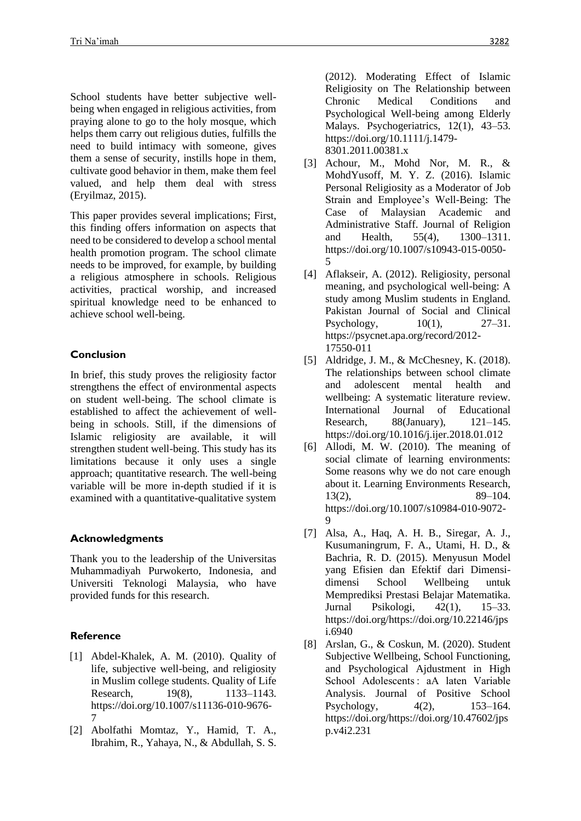School students have better subjective wellbeing when engaged in religious activities, from praying alone to go to the holy mosque, which helps them carry out religious duties, fulfills the need to build intimacy with someone, gives them a sense of security, instills hope in them, cultivate good behavior in them, make them feel valued, and help them deal with stress (Eryilmaz, 2015).

This paper provides several implications; First, this finding offers information on aspects that need to be considered to develop a school mental health promotion program. The school climate needs to be improved, for example, by building a religious atmosphere in schools. Religious activities, practical worship, and increased spiritual knowledge need to be enhanced to achieve school well-being.

### **Conclusion**

In brief, this study proves the religiosity factor strengthens the effect of environmental aspects on student well-being. The school climate is established to affect the achievement of wellbeing in schools. Still, if the dimensions of Islamic religiosity are available, it will strengthen student well-being. This study has its limitations because it only uses a single approach; quantitative research. The well-being variable will be more in-depth studied if it is examined with a quantitative-qualitative system

#### **Acknowledgments**

Thank you to the leadership of the Universitas Muhammadiyah Purwokerto, Indonesia, and Universiti Teknologi Malaysia, who have provided funds for this research.

## **Reference**

- [1] Abdel-Khalek, A. M. (2010). Quality of life, subjective well-being, and religiosity in Muslim college students. Quality of Life Research, 19(8), 1133–1143. https://doi.org/10.1007/s11136-010-9676- 7
- [2] Abolfathi Momtaz, Y., Hamid, T. A., Ibrahim, R., Yahaya, N., & Abdullah, S. S.

(2012). Moderating Effect of Islamic Religiosity on The Relationship between Chronic Medical Conditions and Psychological Well-being among Elderly Malays. Psychogeriatrics, 12(1), 43–53. https://doi.org/10.1111/j.1479- 8301.2011.00381.x

- [3] Achour, M., Mohd Nor, M. R., & MohdYusoff, M. Y. Z. (2016). Islamic Personal Religiosity as a Moderator of Job Strain and Employee's Well-Being: The Case of Malaysian Academic and Administrative Staff. Journal of Religion and Health, 55(4), 1300–1311. https://doi.org/10.1007/s10943-015-0050- 5
- [4] Aflakseir, A. (2012). Religiosity, personal meaning, and psychological well-being: A study among Muslim students in England. Pakistan Journal of Social and Clinical Psychology,  $10(1)$ ,  $27-31$ . https://psycnet.apa.org/record/2012- 17550-011
- [5] Aldridge, J. M., & McChesney, K. (2018). The relationships between school climate and adolescent mental health and wellbeing: A systematic literature review. International Journal of Educational Research, 88(January), 121–145. https://doi.org/10.1016/j.ijer.2018.01.012
- [6] Allodi, M. W. (2010). The meaning of social climate of learning environments: Some reasons why we do not care enough about it. Learning Environments Research, 13(2), 89–104. https://doi.org/10.1007/s10984-010-9072- 9
- [7] Alsa, A., Haq, A. H. B., Siregar, A. J., Kusumaningrum, F. A., Utami, H. D., & Bachria, R. D. (2015). Menyusun Model yang Efisien dan Efektif dari Dimensidimensi School Wellbeing untuk Memprediksi Prestasi Belajar Matematika. Jurnal Psikologi, 42(1), 15–33. https://doi.org/https://doi.org/10.22146/jps i.6940
- [8] Arslan, G., & Coskun, M. (2020). Student Subjective Wellbeing, School Functioning, and Psychological Ajdustment in High School Adolescents : aA laten Variable Analysis. Journal of Positive School Psychology, 4(2), 153–164. https://doi.org/https://doi.org/10.47602/jps p.v4i2.231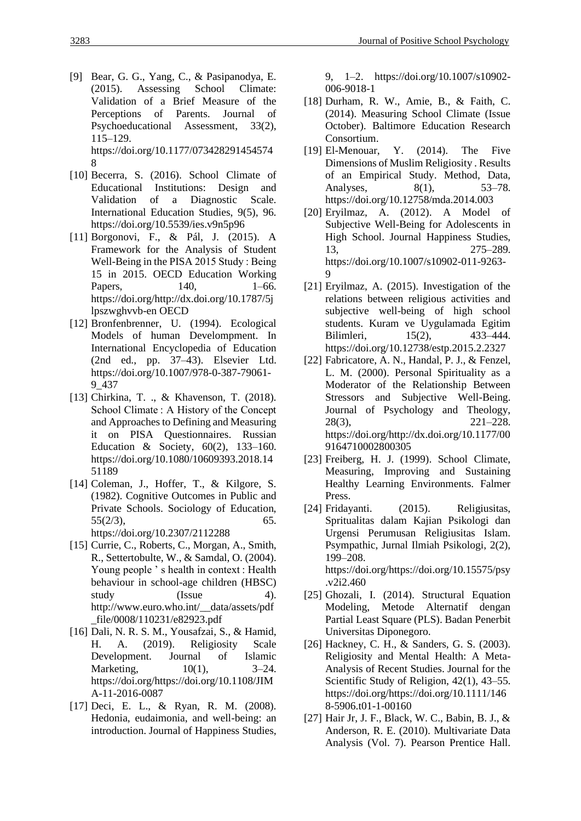- [9] Bear, G. G., Yang, C., & Pasipanodya, E. (2015). Assessing School Climate: Validation of a Brief Measure of the Perceptions of Parents. Journal of Psychoeducational Assessment, 33(2), 115–129. https://doi.org/10.1177/073428291454574 8
- [10] Becerra, S. (2016). School Climate of Educational Institutions: Design and Validation of a Diagnostic Scale. International Education Studies, 9(5), 96. https://doi.org/10.5539/ies.v9n5p96
- [11] Borgonovi, F., & Pál, J. (2015). A Framework for the Analysis of Student Well-Being in the PISA 2015 Study : Being 15 in 2015. OECD Education Working Papers, 140, 1–66. https://doi.org/http://dx.doi.org/10.1787/5j lpszwghvvb-en OECD
- [12] Bronfenbrenner, U. (1994). Ecological Models of human Develompment. In International Encyclopedia of Education (2nd ed., pp. 37–43). Elsevier Ltd. https://doi.org/10.1007/978-0-387-79061- 9\_437
- [13] Chirkina, T. ., & Khavenson, T. (2018). School Climate : A History of the Concept and Approaches to Defining and Measuring it on PISA Questionnaires. Russian Education & Society, 60(2), 133–160. https://doi.org/10.1080/10609393.2018.14 51189
- [14] Coleman, J., Hoffer, T., & Kilgore, S. (1982). Cognitive Outcomes in Public and Private Schools. Sociology of Education,  $55(2/3)$ , 65. https://doi.org/10.2307/2112288
- [15] Currie, C., Roberts, C., Morgan, A., Smith, R., Settertobulte, W., & Samdal, O. (2004). Young people 's health in context : Health behaviour in school-age children (HBSC) study (Issue 4). http://www.euro.who.int/\_\_data/assets/pdf \_file/0008/110231/e82923.pdf
- [16] Dali, N. R. S. M., Yousafzai, S., & Hamid, H. A. (2019). Religiosity Scale Development. Journal of Islamic Marketing, 10(1), 3–24. https://doi.org/https://doi.org/10.1108/JIM A-11-2016-0087
- [17] Deci, E. L., & Ryan, R. M. (2008). Hedonia, eudaimonia, and well-being: an introduction. Journal of Happiness Studies,

9, 1–2. https://doi.org/10.1007/s10902- 006-9018-1

- [18] Durham, R. W., Amie, B., & Faith, C. (2014). Measuring School Climate (Issue October). Baltimore Education Research Consortium.
- [19] El-Menouar, Y. (2014). The Five Dimensions of Muslim Religiosity . Results of an Empirical Study. Method, Data, Analyses, 8(1), 53–78. https://doi.org/10.12758/mda.2014.003
- [20] Eryilmaz, A. (2012). A Model of Subjective Well-Being for Adolescents in High School. Journal Happiness Studies, 13, 275–289. https://doi.org/10.1007/s10902-011-9263- 9
- [21] Eryilmaz, A. (2015). Investigation of the relations between religious activities and subjective well-being of high school students. Kuram ve Uygulamada Egitim Bilimleri, 15(2), 433–444. https://doi.org/10.12738/estp.2015.2.2327
- [22] Fabricatore, A. N., Handal, P. J., & Fenzel, L. M. (2000). Personal Spirituality as a Moderator of the Relationship Between Stressors and Subjective Well-Being. Journal of Psychology and Theology, 28(3), 221–228. https://doi.org/http://dx.doi.org/10.1177/00 9164710002800305
- [23] Freiberg, H. J. (1999). School Climate, Measuring, Improving and Sustaining Healthy Learning Environments. Falmer Press.
- [24] Fridayanti. (2015). Religiusitas, Spritualitas dalam Kajian Psikologi dan Urgensi Perumusan Religiusitas Islam. Psympathic, Jurnal Ilmiah Psikologi, 2(2), 199–208.

https://doi.org/https://doi.org/10.15575/psy .v2i2.460

- [25] Ghozali, I. (2014). Structural Equation Modeling, Metode Alternatif dengan Partial Least Square (PLS). Badan Penerbit Universitas Diponegoro.
- [26] Hackney, C. H., & Sanders, G. S. (2003). Religiosity and Mental Health: A Meta-Analysis of Recent Studies. Journal for the Scientific Study of Religion, 42(1), 43–55. https://doi.org/https://doi.org/10.1111/146 8-5906.t01-1-00160
- [27] Hair Jr, J. F., Black, W. C., Babin, B. J., & Anderson, R. E. (2010). Multivariate Data Analysis (Vol. 7). Pearson Prentice Hall.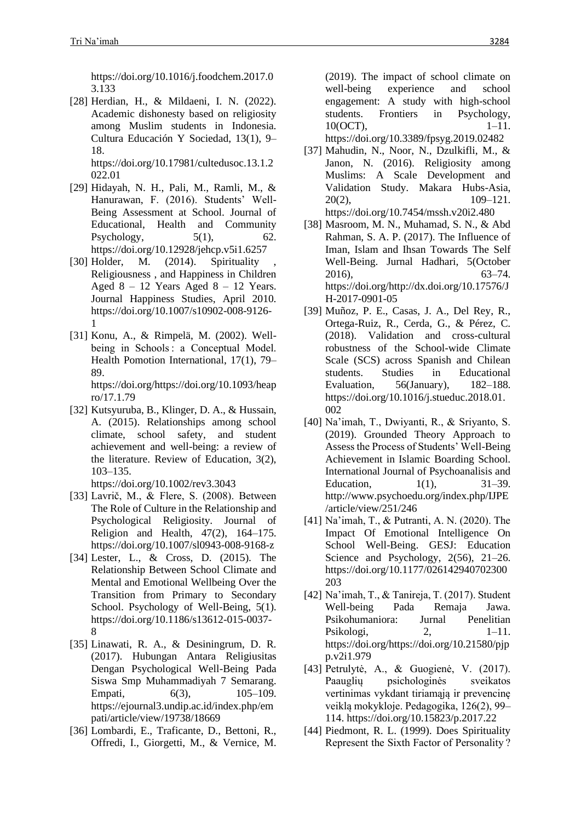https://doi.org/10.1016/j.foodchem.2017.0 3.133

[28] Herdian, H., & Mildaeni, I. N. (2022). Academic dishonesty based on religiosity among Muslim students in Indonesia. Cultura Educación Y Sociedad, 13(1), 9– 18.

https://doi.org/10.17981/cultedusoc.13.1.2 022.01

- [29] Hidayah, N. H., Pali, M., Ramli, M., & Hanurawan, F. (2016). Students' Well-Being Assessment at School. Journal of Educational, Health and Community Psychology,  $5(1)$ ,  $62$ . https://doi.org/10.12928/jehcp.v5i1.6257
- [30] Holder, M.  $(2014)$ . Spirituality Religiousness , and Happiness in Children Aged  $8 - 12$  Years Aged  $8 - 12$  Years. Journal Happiness Studies, April 2010. https://doi.org/10.1007/s10902-008-9126- 1
- [31] Konu, A., & Rimpelä, M. (2002). Wellbeing in Schools : a Conceptual Model. Health Pomotion International, 17(1), 79– 89. https://doi.org/https://doi.org/10.1093/heap ro/17.1.79
- [32] Kutsyuruba, B., Klinger, D. A., & Hussain, A. (2015). Relationships among school climate, school safety, and student achievement and well-being: a review of the literature. Review of Education, 3(2), 103–135.
	- https://doi.org/10.1002/rev3.3043
- [33] Lavrič, M., & Flere, S. (2008). Between The Role of Culture in the Relationship and Psychological Religiosity. Journal of Religion and Health, 47(2), 164–175. https://doi.org/10.1007/sl0943-008-9168-z
- [34] Lester, L., & Cross, D. (2015). The Relationship Between School Climate and Mental and Emotional Wellbeing Over the Transition from Primary to Secondary School. Psychology of Well-Being, 5(1). https://doi.org/10.1186/s13612-015-0037- 8
- [35] Linawati, R. A., & Desiningrum, D. R. (2017). Hubungan Antara Religiusitas Dengan Psychological Well-Being Pada Siswa Smp Muhammadiyah 7 Semarang. Empati, 6(3), 105–109. https://ejournal3.undip.ac.id/index.php/em pati/article/view/19738/18669
- [36] Lombardi, E., Traficante, D., Bettoni, R., Offredi, I., Giorgetti, M., & Vernice, M.

(2019). The impact of school climate on well-being experience and school engagement: A study with high-school students. Frontiers in Psychology, 10(OCT), 1–11.

https://doi.org/10.3389/fpsyg.2019.02482

- [37] Mahudin, N., Noor, N., Dzulkifli, M., & Janon, N. (2016). Religiosity among Muslims: A Scale Development and Validation Study. Makara Hubs-Asia, 20(2), 109–121. https://doi.org/10.7454/mssh.v20i2.480
- [38] Masroom, M. N., Muhamad, S. N., & Abd Rahman, S. A. P. (2017). The Influence of Iman, Islam and Ihsan Towards The Self Well-Being. Jurnal Hadhari, 5(October 2016), 63–74. https://doi.org/http://dx.doi.org/10.17576/J H-2017-0901-05
- [39] Muñoz, P. E., Casas, J. A., Del Rey, R., Ortega-Ruiz, R., Cerda, G., & Pérez, C. (2018). Validation and cross-cultural robustness of the School-wide Climate Scale (SCS) across Spanish and Chilean students. Studies in Educational Evaluation, 56(January), 182–188. https://doi.org/10.1016/j.stueduc.2018.01. 002
- [40] Na'imah, T., Dwiyanti, R., & Sriyanto, S. (2019). Grounded Theory Approach to Assess the Process of Students' Well-Being Achievement in Islamic Boarding School. International Journal of Psychoanalisis and Education, 1(1), 31–39. http://www.psychoedu.org/index.php/IJPE /article/view/251/246
- [41] Na'imah, T., & Putranti, A. N. (2020). The Impact Of Emotional Intelligence On School Well-Being. GESJ: Education Science and Psychology, 2(56), 21–26. https://doi.org/10.1177/026142940702300 203
- [42] Na'imah, T., & Tanireja, T. (2017). Student Well-being Pada Remaja Jawa. Psikohumaniora: Jurnal Penelitian Psikologi, 2, 1–11. https://doi.org/https://doi.org/10.21580/pjp p.v2i1.979
- [43] Petrulytė, A., & Guogienė, V. (2017). Paauglių psichologinės sveikatos vertinimas vykdant tiriamąją ir prevencinę veiklą mokykloje. Pedagogika, 126(2), 99– 114. https://doi.org/10.15823/p.2017.22
- [44] Piedmont, R. L. (1999). Does Spirituality Represent the Sixth Factor of Personality ?